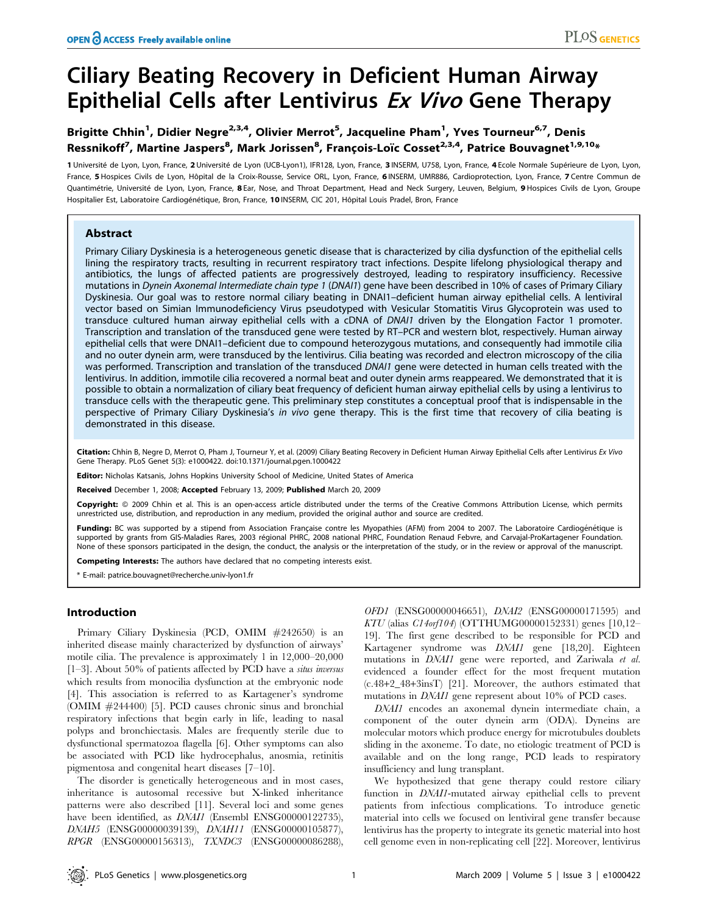# Ciliary Beating Recovery in Deficient Human Airway Epithelial Cells after Lentivirus Ex Vivo Gene Therapy

# Brigitte Chhin<sup>1</sup>, Didier Negre<sup>2,3,4</sup>, Olivier Merrot<sup>5</sup>, Jacqueline Pham<sup>1</sup>, Yves Tourneur<sup>6,7</sup>, Denis Ressnikoff<sup>7</sup>, Martine Jaspers<sup>8</sup>, Mark Jorissen<sup>8</sup>, François-Loïc Cosset<sup>2,3,4</sup>, Patrice Bouvagnet<sup>1,9,10</sup>\*

1 Université de Lyon, Lyon, France, 2 Université de Lyon (UCB-Lyon1), IFR128, Lyon, France, 3 INSERM, U758, Lyon, France, 4 Ecole Normale Supérieure de Lyon, Lyon, France, 5 Hospices Civils de Lyon, Hôpital de la Croix-Rousse, Service ORL, Lyon, France, 6 INSERM, UMR886, Cardioprotection, Lyon, France, 7 Centre Commun de Quantimétrie, Université de Lyon, Lyon, France, 8 Ear, Nose, and Throat Department, Head and Neck Surgery, Leuven, Belgium, 9 Hospices Civils de Lyon, Groupe Hospitalier Est, Laboratoire Cardiogénétique, Bron, France, 10 INSERM, CIC 201, Hôpital Louis Pradel, Bron, France

# Abstract

Primary Ciliary Dyskinesia is a heterogeneous genetic disease that is characterized by cilia dysfunction of the epithelial cells lining the respiratory tracts, resulting in recurrent respiratory tract infections. Despite lifelong physiological therapy and antibiotics, the lungs of affected patients are progressively destroyed, leading to respiratory insufficiency. Recessive mutations in Dynein Axonemal Intermediate chain type 1 (DNAI1) gene have been described in 10% of cases of Primary Ciliary Dyskinesia. Our goal was to restore normal ciliary beating in DNAI1–deficient human airway epithelial cells. A lentiviral vector based on Simian Immunodeficiency Virus pseudotyped with Vesicular Stomatitis Virus Glycoprotein was used to transduce cultured human airway epithelial cells with a cDNA of DNAI1 driven by the Elongation Factor 1 promoter. Transcription and translation of the transduced gene were tested by RT–PCR and western blot, respectively. Human airway epithelial cells that were DNAI1–deficient due to compound heterozygous mutations, and consequently had immotile cilia and no outer dynein arm, were transduced by the lentivirus. Cilia beating was recorded and electron microscopy of the cilia was performed. Transcription and translation of the transduced DNAI1 gene were detected in human cells treated with the lentivirus. In addition, immotile cilia recovered a normal beat and outer dynein arms reappeared. We demonstrated that it is possible to obtain a normalization of ciliary beat frequency of deficient human airway epithelial cells by using a lentivirus to transduce cells with the therapeutic gene. This preliminary step constitutes a conceptual proof that is indispensable in the perspective of Primary Ciliary Dyskinesia's in vivo gene therapy. This is the first time that recovery of cilia beating is demonstrated in this disease.

Citation: Chhin B, Negre D, Merrot O, Pham J, Tourneur Y, et al. (2009) Ciliary Beating Recovery in Deficient Human Airway Epithelial Cells after Lentivirus Ex Vivo Gene Therapy. PLoS Genet 5(3): e1000422. doi:10.1371/journal.pgen.1000422

Editor: Nicholas Katsanis, Johns Hopkins University School of Medicine, United States of America

Received December 1, 2008; Accepted February 13, 2009; Published March 20, 2009

Copyright: @ 2009 Chhin et al. This is an open-access article distributed under the terms of the Creative Commons Attribution License, which permits unrestricted use, distribution, and reproduction in any medium, provided the original author and source are credited.

Funding: BC was supported by a stipend from Association Française contre les Myopathies (AFM) from 2004 to 2007. The Laboratoire Cardiogénétique is supported by grants from GIS-Maladies Rares, 2003 regional PHRC, 2008 national PHRC, Foundation Renaud Febvre, and Carvajal-ProKartagener Foundation. None of these sponsors participated in the design, the conduct, the analysis or the interpretation of the study, or in the review or approval of the manuscript.

Competing Interests: The authors have declared that no competing interests exist.

\* E-mail: patrice.bouvagnet@recherche.univ-lyon1.fr

# Introduction

Primary Ciliary Dyskinesia (PCD, OMIM #242650) is an inherited disease mainly characterized by dysfunction of airways' motile cilia. The prevalence is approximately 1 in 12,000–20,000 [1–3]. About 50% of patients affected by PCD have a *situs inversus* which results from monocilia dysfunction at the embryonic node [4]. This association is referred to as Kartagener's syndrome (OMIM #244400) [5]. PCD causes chronic sinus and bronchial respiratory infections that begin early in life, leading to nasal polyps and bronchiectasis. Males are frequently sterile due to dysfunctional spermatozoa flagella [6]. Other symptoms can also be associated with PCD like hydrocephalus, anosmia, retinitis pigmentosa and congenital heart diseases [7–10].

The disorder is genetically heterogeneous and in most cases, inheritance is autosomal recessive but X-linked inheritance patterns were also described [11]. Several loci and some genes have been identified, as *DNAI1* (Ensembl ENSG00000122735), DNAH5 (ENSG00000039139), DNAH11 (ENSG00000105877), RPGR (ENSG00000156313), TXNDC3 (ENSG00000086288),

OFD1 (ENSG00000046651), DNAI2 (ENSG00000171595) and KTU (alias C14orf104) (OTTHUMG00000152331) genes [10,12– 19]. The first gene described to be responsible for PCD and Kartagener syndrome was DNAI1 gene [18,20]. Eighteen mutations in DNAI1 gene were reported, and Zariwala et al. evidenced a founder effect for the most frequent mutation (c.48+2\_48+3insT) [21]. Moreover, the authors estimated that mutations in DNAI1 gene represent about 10% of PCD cases.

**PLOS** GENETICS

DNAI1 encodes an axonemal dynein intermediate chain, a component of the outer dynein arm (ODA). Dyneins are molecular motors which produce energy for microtubules doublets sliding in the axoneme. To date, no etiologic treatment of PCD is available and on the long range, PCD leads to respiratory insufficiency and lung transplant.

We hypothesized that gene therapy could restore ciliary function in DNAI1-mutated airway epithelial cells to prevent patients from infectious complications. To introduce genetic material into cells we focused on lentiviral gene transfer because lentivirus has the property to integrate its genetic material into host cell genome even in non-replicating cell [22]. Moreover, lentivirus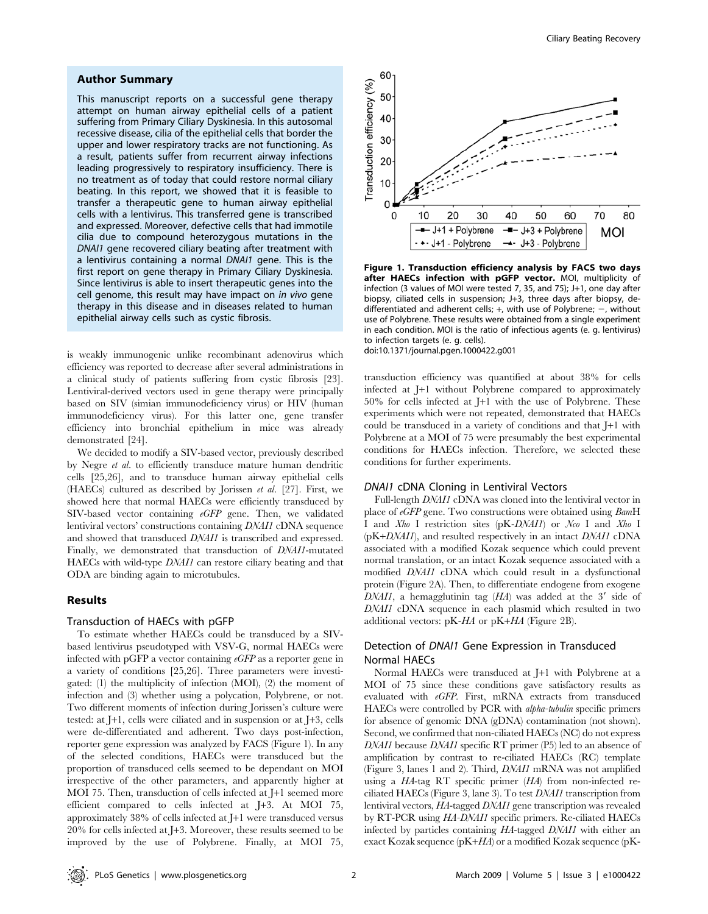# Author Summary

This manuscript reports on a successful gene therapy attempt on human airway epithelial cells of a patient suffering from Primary Ciliary Dyskinesia. In this autosomal recessive disease, cilia of the epithelial cells that border the upper and lower respiratory tracks are not functioning. As a result, patients suffer from recurrent airway infections leading progressively to respiratory insufficiency. There is no treatment as of today that could restore normal ciliary beating. In this report, we showed that it is feasible to transfer a therapeutic gene to human airway epithelial cells with a lentivirus. This transferred gene is transcribed and expressed. Moreover, defective cells that had immotile cilia due to compound heterozygous mutations in the DNAI1 gene recovered ciliary beating after treatment with a lentivirus containing a normal DNAI1 gene. This is the first report on gene therapy in Primary Ciliary Dyskinesia. Since lentivirus is able to insert therapeutic genes into the cell genome, this result may have impact on in vivo gene therapy in this disease and in diseases related to human epithelial airway cells such as cystic fibrosis.

is weakly immunogenic unlike recombinant adenovirus which efficiency was reported to decrease after several administrations in a clinical study of patients suffering from cystic fibrosis [23]. Lentiviral-derived vectors used in gene therapy were principally based on SIV (simian immunodeficiency virus) or HIV (human immunodeficiency virus). For this latter one, gene transfer efficiency into bronchial epithelium in mice was already demonstrated [24].

We decided to modify a SIV-based vector, previously described by Negre et al. to efficiently transduce mature human dendritic cells [25,26], and to transduce human airway epithelial cells (HAECs) cultured as described by Jorissen et al. [27]. First, we showed here that normal HAECs were efficiently transduced by SIV-based vector containing eGFP gene. Then, we validated lentiviral vectors' constructions containing DNAI1 cDNA sequence and showed that transduced DNAI1 is transcribed and expressed. Finally, we demonstrated that transduction of DNAI1-mutated HAECs with wild-type DNAI1 can restore ciliary beating and that ODA are binding again to microtubules.

# Results

#### Transduction of HAECs with pGFP

To estimate whether HAECs could be transduced by a SIVbased lentivirus pseudotyped with VSV-G, normal HAECs were infected with pGFP a vector containing eGFP as a reporter gene in a variety of conditions [25,26]. Three parameters were investigated: (1) the multiplicity of infection (MOI), (2) the moment of infection and (3) whether using a polycation, Polybrene, or not. Two different moments of infection during Jorissen's culture were tested: at J+1, cells were ciliated and in suspension or at J+3, cells were de-differentiated and adherent. Two days post-infection, reporter gene expression was analyzed by FACS (Figure 1). In any of the selected conditions, HAECs were transduced but the proportion of transduced cells seemed to be dependant on MOI irrespective of the other parameters, and apparently higher at MOI 75. Then, transduction of cells infected at J+1 seemed more efficient compared to cells infected at J+3. At MOI 75, approximately 38% of cells infected at J+1 were transduced versus 20% for cells infected at J+3. Moreover, these results seemed to be improved by the use of Polybrene. Finally, at MOI 75,



Figure 1. Transduction efficiency analysis by FACS two days after HAECs infection with pGFP vector. MOI, multiplicity of infection (3 values of MOI were tested 7, 35, and 75); J+1, one day after biopsy, ciliated cells in suspension; J+3, three days after biopsy, dedifferentiated and adherent cells;  $+$ , with use of Polybrene;  $-$ , without use of Polybrene. These results were obtained from a single experiment in each condition. MOI is the ratio of infectious agents (e. g. lentivirus) to infection targets (e. g. cells). doi:10.1371/journal.pgen.1000422.g001

transduction efficiency was quantified at about 38% for cells infected at J+1 without Polybrene compared to approximately 50% for cells infected at J+1 with the use of Polybrene. These experiments which were not repeated, demonstrated that HAECs could be transduced in a variety of conditions and that J+1 with Polybrene at a MOI of 75 were presumably the best experimental conditions for HAECs infection. Therefore, we selected these conditions for further experiments.

# DNAI1 cDNA Cloning in Lentiviral Vectors

Full-length DNAI1 cDNA was cloned into the lentiviral vector in place of eGFP gene. Two constructions were obtained using BamH I and Xho I restriction sites (pK-DNAI1) or Nco I and Xho I (pK+DNAI1), and resulted respectively in an intact DNAI1 cDNA associated with a modified Kozak sequence which could prevent normal translation, or an intact Kozak sequence associated with a modified DNAI1 cDNA which could result in a dysfunctional protein (Figure 2A). Then, to differentiate endogene from exogene DNAI1, a hemagglutinin tag  $(HA)$  was added at the 3' side of DNAI1 cDNA sequence in each plasmid which resulted in two additional vectors: pK-HA or pK+HA (Figure 2B).

# Detection of DNAI1 Gene Expression in Transduced Normal HAECs

Normal HAECs were transduced at J+1 with Polybrene at a MOI of 75 since these conditions gave satisfactory results as evaluated with eGFP. First, mRNA extracts from transduced HAECs were controlled by PCR with alpha-tubulin specific primers for absence of genomic DNA (gDNA) contamination (not shown). Second, we confirmed that non-ciliated HAECs (NC) do not express DNAI1 because DNAI1 specific RT primer (P5) led to an absence of amplification by contrast to re-ciliated HAECs (RC) template (Figure 3, lanes 1 and 2). Third, DNAI1 mRNA was not amplified using a HA-tag RT specific primer (HA) from non-infected reciliated HAECs (Figure 3, lane 3). To test DNAI1 transcription from lentiviral vectors, HA-tagged DNAI1 gene transcription was revealed by RT-PCR using HA-DNAI1 specific primers. Re-ciliated HAECs infected by particles containing HA-tagged DNAI1 with either an exact Kozak sequence (pK+HA) or a modified Kozak sequence (pK-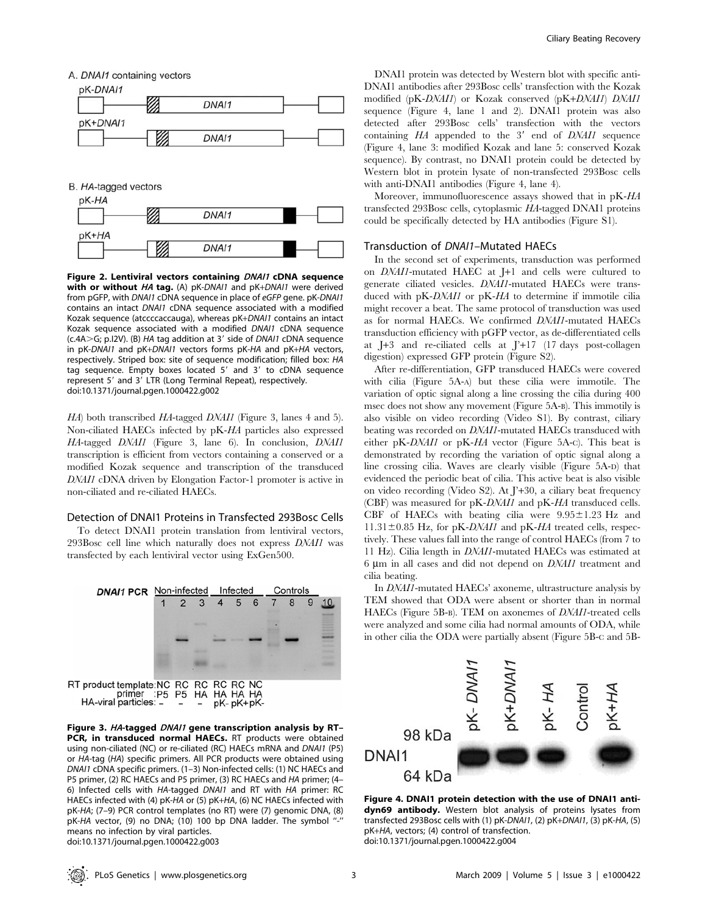

pK+HA



DNAI1

Figure 2. Lentiviral vectors containing DNAI1 cDNA sequence with or without HA tag. (A) pK-DNAI1 and pK+DNAI1 were derived from pGFP, with DNAI1 cDNA sequence in place of eGFP gene. pK-DNAI1 contains an intact DNAI1 cDNA sequence associated with a modified Kozak sequence (atccccaccauga), whereas pK+DNAI1 contains an intact Kozak sequence associated with a modified DNAI1 cDNA sequence (c.4A $>$ G; p.I2V). (B) HA tag addition at 3' side of DNAI1 cDNA sequence in pK-DNAI1 and pK+DNAI1 vectors forms pK-HA and pK+HA vectors, respectively. Striped box: site of sequence modification; filled box: HA tag sequence. Empty boxes located 5' and 3' to cDNA sequence represent 5' and 3' LTR (Long Terminal Repeat), respectively. doi:10.1371/journal.pgen.1000422.g002

HA) both transcribed HA-tagged DNAI1 (Figure 3, lanes 4 and 5). Non-ciliated HAECs infected by pK-HA particles also expressed HA-tagged DNAI1 (Figure 3, lane 6). In conclusion, DNAI1 transcription is efficient from vectors containing a conserved or a modified Kozak sequence and transcription of the transduced DNAI1 cDNA driven by Elongation Factor-1 promoter is active in non-ciliated and re-ciliated HAECs.

# Detection of DNAI1 Proteins in Transfected 293Bosc Cells

To detect DNAI1 protein translation from lentiviral vectors, 293Bosc cell line which naturally does not express DNAI1 was transfected by each lentiviral vector using ExGen500.



Figure 3. HA-tagged DNAI1 gene transcription analysis by RT– PCR, in transduced normal HAECs. RT products were obtained using non-ciliated (NC) or re-ciliated (RC) HAECs mRNA and DNAI1 (P5) or HA-tag (HA) specific primers. All PCR products were obtained using DNAI1 cDNA specific primers. (1–3) Non-infected cells: (1) NC HAECs and P5 primer, (2) RC HAECs and P5 primer, (3) RC HAECs and HA primer; (4– 6) Infected cells with HA-tagged DNAI1 and RT with HA primer: RC HAECs infected with (4) pK-HA or (5) pK+HA, (6) NC HAECs infected with pK-HA; (7–9) PCR control templates (no RT) were (7) genomic DNA, (8) pK-HA vector, (9) no DNA; (10) 100 bp DNA ladder. The symbol "-' means no infection by viral particles. doi:10.1371/journal.pgen.1000422.g003

DNAI1 protein was detected by Western blot with specific anti-DNAI1 antibodies after 293Bosc cells' transfection with the Kozak modified (pK-DNAI1) or Kozak conserved (pK+DNAI1) DNAI1 sequence (Figure 4, lane 1 and 2). DNAI1 protein was also detected after 293Bosc cells' transfection with the vectors containing  $HA$  appended to the 3' end of  $DMAII$  sequence (Figure 4, lane 3: modified Kozak and lane 5: conserved Kozak sequence). By contrast, no DNAI1 protein could be detected by Western blot in protein lysate of non-transfected 293Bosc cells with anti-DNAI1 antibodies (Figure 4, lane 4).

Moreover, immunofluorescence assays showed that in pK-HA transfected 293Bosc cells, cytoplasmic HA-tagged DNAI1 proteins could be specifically detected by HA antibodies (Figure S1).

# Transduction of DNAI1–Mutated HAECs

In the second set of experiments, transduction was performed on DNAI1-mutated HAEC at J+1 and cells were cultured to generate ciliated vesicles. DNAI1-mutated HAECs were transduced with pK-DNAI1 or pK-HA to determine if immotile cilia might recover a beat. The same protocol of transduction was used as for normal HAECs. We confirmed DNAI1-mutated HAECs transduction efficiency with pGFP vector, as de-differentiated cells at J+3 and re-ciliated cells at J'+17 (17 days post-collagen digestion) expressed GFP protein (Figure S2).

After re-differentiation, GFP transduced HAECs were covered with cilia (Figure 5A-A) but these cilia were immotile. The variation of optic signal along a line crossing the cilia during 400 msec does not show any movement (Figure 5A-B). This immotily is also visible on video recording (Video S1). By contrast, ciliary beating was recorded on DNAI1-mutated HAECs transduced with either pK-DNAI1 or pK-HA vector (Figure 5A-C). This beat is demonstrated by recording the variation of optic signal along a line crossing cilia. Waves are clearly visible (Figure 5A-D) that evidenced the periodic beat of cilia. This active beat is also visible on video recording (Video S2). At J'+30, a ciliary beat frequency (CBF) was measured for pK-DNAI1 and pK-HA transduced cells. CBF of HAECs with beating cilia were  $9.95 \pm 1.23$  Hz and  $11.31\pm0.85$  Hz, for pK-DNAI1 and pK-HA treated cells, respectively. These values fall into the range of control HAECs (from 7 to 11 Hz). Cilia length in DNAI1-mutated HAECs was estimated at 6 µm in all cases and did not depend on *DNAI1* treatment and cilia beating.

In DNAI1-mutated HAECs' axoneme, ultrastructure analysis by TEM showed that ODA were absent or shorter than in normal HAECs (Figure 5B-B). TEM on axonemes of DNAI1-treated cells were analyzed and some cilia had normal amounts of ODA, while in other cilia the ODA were partially absent (Figure 5B-C and 5B-



Figure 4. DNAI1 protein detection with the use of DNAI1 antidyn69 antibody. Western blot analysis of proteins lysates from transfected 293Bosc cells with (1) pK-DNAI1, (2) pK+DNAI1, (3) pK-HA, (5) pK+HA, vectors; (4) control of transfection. doi:10.1371/journal.pgen.1000422.g004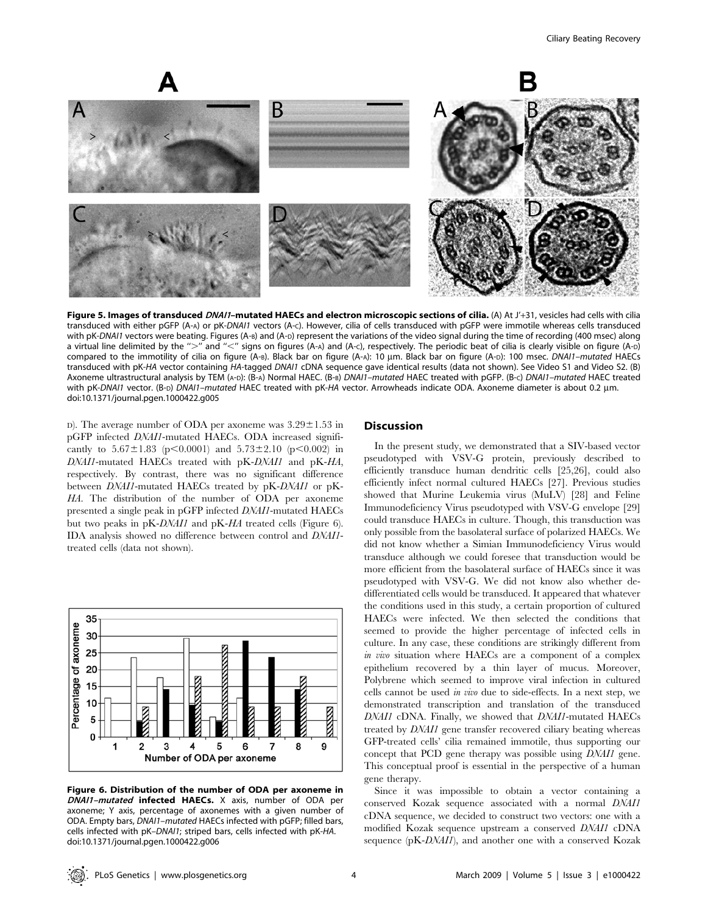

Figure 5. Images of transduced DNAI1-mutated HAECs and electron microscopic sections of cilia. (A) At J'+31, vesicles had cells with cilia transduced with either pGFP (A-A) or pK-DNAI1 vectors (A-C). However, cilia of cells transduced with pGFP were immotile whereas cells transduced with pK-DNAI1 vectors were beating. Figures (A-B) and (A-D) represent the variations of the video signal during the time of recording (400 msec) along a virtual line delimited by the ">" and "<" signs on figures (A-A) and (A-c), respectively. The periodic beat of cilia is clearly visible on figure (A-D) compared to the immotility of cilia on figure (A-B). Black bar on figure (A-A): 10 µm. Black bar on figure (A-D): 100 msec. DNAI1-mutated HAECs transduced with pK-HA vector containing HA-tagged DNAI1 cDNA sequence gave identical results (data not shown). See Video S1 and Video S2. (B) Axoneme ultrastructural analysis by TEM (A-D): (B-A) Normal HAEC. (B-B) DNAI1-mutated HAEC treated with pGFP. (B-c) DNAI1-mutated HAEC treated with pK-DNAI1 vector. (B-D) DNAI1-mutated HAEC treated with pK-HA vector. Arrowheads indicate ODA. Axoneme diameter is about 0.2 µm. doi:10.1371/journal.pgen.1000422.g005

 $D$ ). The average number of ODA per axoneme was  $3.29 \pm 1.53$  in pGFP infected DNAI1-mutated HAECs. ODA increased significantly to  $5.67 \pm 1.83$  (p $\leq 0.0001$ ) and  $5.73 \pm 2.10$  (p $\leq 0.002$ ) in DNAI1-mutated HAECs treated with pK-DNAI1 and pK-HA, respectively. By contrast, there was no significant difference between DNAI1-mutated HAECs treated by pK-DNAI1 or pK-HA. The distribution of the number of ODA per axoneme presented a single peak in pGFP infected DNAI1-mutated HAECs but two peaks in pK-DNAI1 and pK-HA treated cells (Figure 6). IDA analysis showed no difference between control and DNAI1 treated cells (data not shown).



Figure 6. Distribution of the number of ODA per axoneme in DNAI1-mutated infected HAECs. X axis, number of ODA per axoneme; Y axis, percentage of axonemes with a given number of ODA. Empty bars, DNAI1–mutated HAECs infected with pGFP; filled bars, cells infected with pK–DNAI1; striped bars, cells infected with pK-HA. doi:10.1371/journal.pgen.1000422.g006

# **Discussion**

In the present study, we demonstrated that a SIV-based vector pseudotyped with VSV-G protein, previously described to efficiently transduce human dendritic cells [25,26], could also efficiently infect normal cultured HAECs [27]. Previous studies showed that Murine Leukemia virus (MuLV) [28] and Feline Immunodeficiency Virus pseudotyped with VSV-G envelope [29] could transduce HAECs in culture. Though, this transduction was only possible from the basolateral surface of polarized HAECs. We did not know whether a Simian Immunodeficiency Virus would transduce although we could foresee that transduction would be more efficient from the basolateral surface of HAECs since it was pseudotyped with VSV-G. We did not know also whether dedifferentiated cells would be transduced. It appeared that whatever the conditions used in this study, a certain proportion of cultured HAECs were infected. We then selected the conditions that seemed to provide the higher percentage of infected cells in culture. In any case, these conditions are strikingly different from in vivo situation where HAECs are a component of a complex epithelium recovered by a thin layer of mucus. Moreover, Polybrene which seemed to improve viral infection in cultured cells cannot be used in vivo due to side-effects. In a next step, we demonstrated transcription and translation of the transduced DNAI1 cDNA. Finally, we showed that DNAI1-mutated HAECs treated by DNAI1 gene transfer recovered ciliary beating whereas GFP-treated cells' cilia remained immotile, thus supporting our concept that PCD gene therapy was possible using DNAI1 gene. This conceptual proof is essential in the perspective of a human gene therapy.

Since it was impossible to obtain a vector containing a conserved Kozak sequence associated with a normal DNAI1 cDNA sequence, we decided to construct two vectors: one with a modified Kozak sequence upstream a conserved DNAI1 cDNA sequence (pK-*DNAI1*), and another one with a conserved Kozak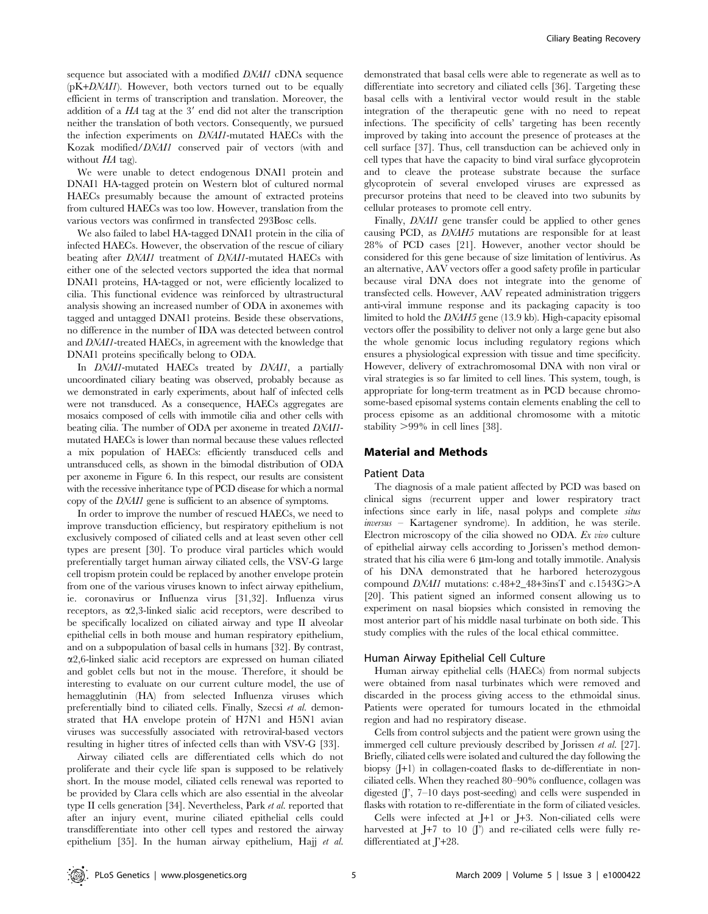sequence but associated with a modified DNAI1 cDNA sequence (pK+DNAI1). However, both vectors turned out to be equally efficient in terms of transcription and translation. Moreover, the addition of a  $HA$  tag at the  $3'$  end did not alter the transcription neither the translation of both vectors. Consequently, we pursued the infection experiments on DNAI1-mutated HAECs with the Kozak modified/DNAI1 conserved pair of vectors (with and without *HA* tag).

We were unable to detect endogenous DNAI1 protein and DNAI1 HA-tagged protein on Western blot of cultured normal HAECs presumably because the amount of extracted proteins from cultured HAECs was too low. However, translation from the various vectors was confirmed in transfected 293Bosc cells.

We also failed to label HA-tagged DNAI1 protein in the cilia of infected HAECs. However, the observation of the rescue of ciliary beating after DNAI1 treatment of DNAI1-mutated HAECs with either one of the selected vectors supported the idea that normal DNAI1 proteins, HA-tagged or not, were efficiently localized to cilia. This functional evidence was reinforced by ultrastructural analysis showing an increased number of ODA in axonemes with tagged and untagged DNAI1 proteins. Beside these observations, no difference in the number of IDA was detected between control and DNAI1-treated HAECs, in agreement with the knowledge that DNAI1 proteins specifically belong to ODA.

In *DNAI1*-mutated HAECs treated by *DNAI1*, a partially uncoordinated ciliary beating was observed, probably because as we demonstrated in early experiments, about half of infected cells were not transduced. As a consequence, HAECs aggregates are mosaics composed of cells with immotile cilia and other cells with beating cilia. The number of ODA per axoneme in treated DNAI1 mutated HAECs is lower than normal because these values reflected a mix population of HAECs: efficiently transduced cells and untransduced cells, as shown in the bimodal distribution of ODA per axoneme in Figure 6. In this respect, our results are consistent with the recessive inheritance type of PCD disease for which a normal copy of the DNAI1 gene is sufficient to an absence of symptoms.

In order to improve the number of rescued HAECs, we need to improve transduction efficiency, but respiratory epithelium is not exclusively composed of ciliated cells and at least seven other cell types are present [30]. To produce viral particles which would preferentially target human airway ciliated cells, the VSV-G large cell tropism protein could be replaced by another envelope protein from one of the various viruses known to infect airway epithelium, ie. coronavirus or Influenza virus [31,32]. Influenza virus receptors, as  $\alpha$ 2,3-linked sialic acid receptors, were described to be specifically localized on ciliated airway and type II alveolar epithelial cells in both mouse and human respiratory epithelium, and on a subpopulation of basal cells in humans [32]. By contrast,  $\alpha$ 2,6-linked sialic acid receptors are expressed on human ciliated and goblet cells but not in the mouse. Therefore, it should be interesting to evaluate on our current culture model, the use of hemagglutinin (HA) from selected Influenza viruses which preferentially bind to ciliated cells. Finally, Szecsi et al. demonstrated that HA envelope protein of H7N1 and H5N1 avian viruses was successfully associated with retroviral-based vectors resulting in higher titres of infected cells than with VSV-G [33].

Airway ciliated cells are differentiated cells which do not proliferate and their cycle life span is supposed to be relatively short. In the mouse model, ciliated cells renewal was reported to be provided by Clara cells which are also essential in the alveolar type II cells generation [34]. Nevertheless, Park et al. reported that after an injury event, murine ciliated epithelial cells could transdifferentiate into other cell types and restored the airway epithelium [35]. In the human airway epithelium, Hajj et al.

demonstrated that basal cells were able to regenerate as well as to differentiate into secretory and ciliated cells [36]. Targeting these basal cells with a lentiviral vector would result in the stable integration of the therapeutic gene with no need to repeat infections. The specificity of cells' targeting has been recently improved by taking into account the presence of proteases at the cell surface [37]. Thus, cell transduction can be achieved only in cell types that have the capacity to bind viral surface glycoprotein and to cleave the protease substrate because the surface glycoprotein of several enveloped viruses are expressed as precursor proteins that need to be cleaved into two subunits by cellular proteases to promote cell entry.

Finally, DNAI1 gene transfer could be applied to other genes causing PCD, as DNAH5 mutations are responsible for at least 28% of PCD cases [21]. However, another vector should be considered for this gene because of size limitation of lentivirus. As an alternative, AAV vectors offer a good safety profile in particular because viral DNA does not integrate into the genome of transfected cells. However, AAV repeated administration triggers anti-viral immune response and its packaging capacity is too limited to hold the DNAH5 gene (13.9 kb). High-capacity episomal vectors offer the possibility to deliver not only a large gene but also the whole genomic locus including regulatory regions which ensures a physiological expression with tissue and time specificity. However, delivery of extrachromosomal DNA with non viral or viral strategies is so far limited to cell lines. This system, tough, is appropriate for long-term treatment as in PCD because chromosome-based episomal systems contain elements enabling the cell to process episome as an additional chromosome with a mitotic stability  $>99\%$  in cell lines [38].

# Material and Methods

# Patient Data

The diagnosis of a male patient affected by PCD was based on clinical signs (recurrent upper and lower respiratory tract infections since early in life, nasal polyps and complete situs inversus – Kartagener syndrome). In addition, he was sterile. Electron microscopy of the cilia showed no ODA. Ex vivo culture of epithelial airway cells according to Jorissen's method demonstrated that his cilia were  $6 \mu m$ -long and totally immotile. Analysis of his DNA demonstrated that he harbored heterozygous compound *DNAI1* mutations: c.48+2\_48+3insT and c.1543G>A [20]. This patient signed an informed consent allowing us to experiment on nasal biopsies which consisted in removing the most anterior part of his middle nasal turbinate on both side. This study complies with the rules of the local ethical committee.

#### Human Airway Epithelial Cell Culture

Human airway epithelial cells (HAECs) from normal subjects were obtained from nasal turbinates which were removed and discarded in the process giving access to the ethmoidal sinus. Patients were operated for tumours located in the ethmoidal region and had no respiratory disease.

Cells from control subjects and the patient were grown using the immerged cell culture previously described by Jorissen *et al.* [27]. Briefly, ciliated cells were isolated and cultured the day following the biopsy (J+1) in collagen-coated flasks to de-differentiate in nonciliated cells. When they reached 80–90% confluence, collagen was digested (J', 7–10 days post-seeding) and cells were suspended in flasks with rotation to re-differentiate in the form of ciliated vesicles.

Cells were infected at J+1 or J+3. Non-ciliated cells were harvested at J+7 to 10 (J') and re-ciliated cells were fully redifferentiated at J'+28.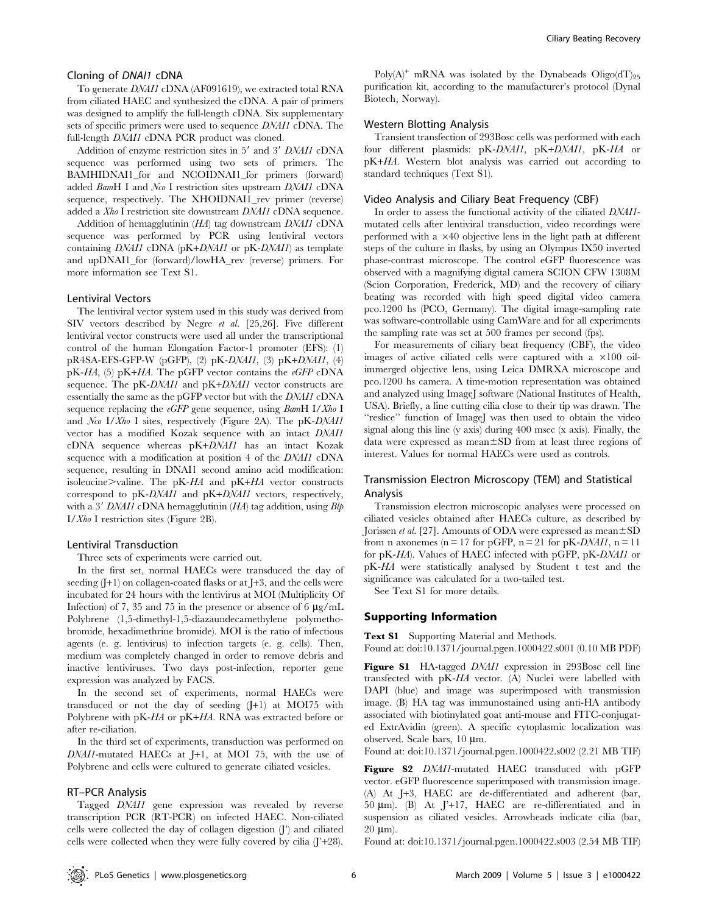# Cloning of DNAI1 cDNA

To generate DNAI1 cDNA (AF091619), we extracted total RNA from ciliated HAEC and synthesized the cDNA. A pair of primers was designed to amplify the full-length cDNA. Six supplementary sets of specific primers were used to sequence  $D$ *MAI1* cDNA. The full-length DNAI1 cDNA PCR product was cloned.

Addition of enzyme restriction sites in 5' and 3' DNAI1 cDNA sequence was performed using two sets of primers. The BAMHIDNAI1\_for and NCOIDNAI1\_for primers (forward) added BamH I and Nco I restriction sites upstream DNAI1 cDNA sequence, respectively. The XHOIDNAI1\_rev primer (reverse) added a Xho I restriction site downstream DNAI1 cDNA sequence.

Addition of hemagglutinin (HA) tag downstream DNAI1 cDNA sequence was performed by PCR using lentiviral vectors containing DNAI1 cDNA (pK+DNAI1 or pK-DNAI1) as template and upDNAI1\_for (forward)/lowHA\_rev (reverse) primers. For more information see Text S1.

#### Lentiviral Vectors

The lentiviral vector system used in this study was derived from SIV vectors described by Negre et al. [25,26]. Five different lentiviral vector constructs were used all under the transcriptional control of the human Elongation Factor-1 promoter (EFS): (1) pR4SA-EFS-GFP-W (pGFP), (2) pK-DNAI1, (3) pK+DNAI1, (4) pK-HA, (5) pK+HA. The pGFP vector contains the eGFP cDNA sequence. The pK-DNAI1 and pK+DNAI1 vector constructs are essentially the same as the pGFP vector but with the DNAI1 cDNA sequence replacing the eGFP gene sequence, using BamH I/Xho I and Nco I/Xho I sites, respectively (Figure 2A). The pK-DNAI1 vector has a modified Kozak sequence with an intact DNAI1 cDNA sequence whereas pK+DNAI1 has an intact Kozak sequence with a modification at position 4 of the DNAI1 cDNA sequence, resulting in DNAI1 second amino acid modification: isoleucine>valine. The pK- $HA$  and pK+ $HA$  vector constructs correspond to pK-DNAI1 and pK+DNAI1 vectors, respectively, with a 3' DNAI1 cDNA hemagglutinin  $(HA)$  tag addition, using  $Blp$ I/Xho I restriction sites (Figure 2B).

#### Lentiviral Transduction

Three sets of experiments were carried out.

In the first set, normal HAECs were transduced the day of seeding  $(I+1)$  on collagen-coated flasks or at  $I+3$ , and the cells were incubated for 24 hours with the lentivirus at MOI (Multiplicity Of Infection) of 7, 35 and 75 in the presence or absence of 6  $\mu$ g/mL Polybrene (1,5-dimethyl-1,5-diazaundecamethylene polymethobromide, hexadimethrine bromide). MOI is the ratio of infectious agents (e. g. lentivirus) to infection targets (e. g. cells). Then, medium was completely changed in order to remove debris and inactive lentiviruses. Two days post-infection, reporter gene expression was analyzed by FACS.

In the second set of experiments, normal HAECs were transduced or not the day of seeding (J+1) at MOI75 with Polybrene with pK-HA or pK+HA. RNA was extracted before or after re-ciliation.

In the third set of experiments, transduction was performed on DNAI1-mutated HAECs at J+1, at MOI 75, with the use of Polybrene and cells were cultured to generate ciliated vesicles.

# RT–PCR Analysis

Tagged DNAI1 gene expression was revealed by reverse transcription PCR (RT-PCR) on infected HAEC. Non-ciliated cells were collected the day of collagen digestion (J') and ciliated cells were collected when they were fully covered by cilia  $(I^*+28)$ .

Poly(A)<sup>+</sup> mRNA was isolated by the Dynabeads Oligo(dT)<sub>25</sub> purification kit, according to the manufacturer's protocol (Dynal Biotech, Norway).

# Western Blotting Analysis

Transient transfection of 293Bosc cells was performed with each four different plasmids: pK-DNAI1, pK+DNAI1, pK-HA or pK+HA. Western blot analysis was carried out according to standard techniques (Text S1).

#### Video Analysis and Ciliary Beat Frequency (CBF)

In order to assess the functional activity of the ciliated DNAI1 mutated cells after lentiviral transduction, video recordings were performed with a  $\times$ 40 objective lens in the light path at different steps of the culture in flasks, by using an Olympus IX50 inverted phase-contrast microscope. The control eGFP fluorescence was observed with a magnifying digital camera SCION CFW 1308M (Scion Corporation, Frederick, MD) and the recovery of ciliary beating was recorded with high speed digital video camera pco.1200 hs (PCO, Germany). The digital image-sampling rate was software-controllable using CamWare and for all experiments the sampling rate was set at 500 frames per second (fps).

For measurements of ciliary beat frequency (CBF), the video images of active ciliated cells were captured with a  $\times100$  oilimmerged objective lens, using Leica DMRXA microscope and pco.1200 hs camera. A time-motion representation was obtained and analyzed using ImageJ software (National Institutes of Health, USA). Briefly, a line cutting cilia close to their tip was drawn. The ''reslice'' function of ImageJ was then used to obtain the video signal along this line (y axis) during 400 msec (x axis). Finally, the data were expressed as mean $\pm$ SD from at least three regions of interest. Values for normal HAECs were used as controls.

# Transmission Electron Microscopy (TEM) and Statistical Analysis

Transmission electron microscopic analyses were processed on ciliated vesicles obtained after HAECs culture, as described by Jorissen et al. [27]. Amounts of ODA were expressed as mean $\pm$ SD from n axonemes ( $n = 17$  for pGFP,  $n = 21$  for pK-*DNAI1*,  $n = 11$ for pK-HA). Values of HAEC infected with pGFP, pK-DNAI1 or pK-HA were statistically analysed by Student t test and the significance was calculated for a two-tailed test.

See Text S1 for more details.

# Supporting Information

Text S1 Supporting Material and Methods. Found at: doi:10.1371/journal.pgen.1000422.s001 (0.10 MB PDF)

Figure S1 HA-tagged *DNAI1* expression in 293Bosc cell line transfected with pK-HA vector. (A) Nuclei were labelled with DAPI (blue) and image was superimposed with transmission image. (B) HA tag was immunostained using anti-HA antibody associated with biotinylated goat anti-mouse and FITC-conjugated ExtrAvidin (green). A specific cytoplasmic localization was observed. Scale bars,  $10 \mu m$ .

Found at: doi:10.1371/journal.pgen.1000422.s002 (2.21 MB TIF)

Figure S2 *DNAI1*-mutated HAEC transduced with pGFP vector. eGFP fluorescence superimposed with transmission image. (A) At J+3, HAEC are de-differentiated and adherent (bar, 50 mm). (B) At J'+17, HAEC are re-differentiated and in suspension as ciliated vesicles. Arrowheads indicate cilia (bar,  $20 \text{ }\mu\text{m}$ ).

Found at: doi:10.1371/journal.pgen.1000422.s003 (2.54 MB TIF)